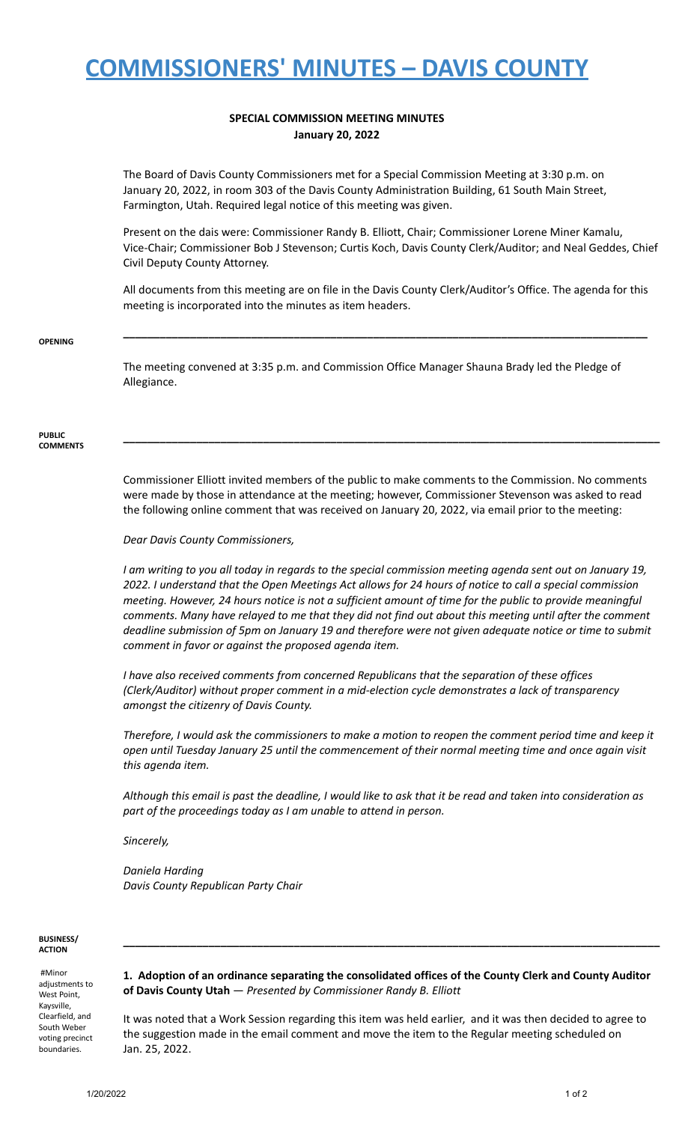## **COMMISSIONERS' MINUTES – DAVIS COUNTY**

## **SPECIAL COMMISSION MEETING MINUTES January 20, 2022**

The Board of Davis County Commissioners met for a Special Commission Meeting at 3:30 p.m. on January 20, 2022, in room 303 of the Davis County Administration Building, 61 South Main Street, Farmington, Utah. Required legal notice of this meeting was given.

Present on the dais were: Commissioner Randy B. Elliott, Chair; Commissioner Lorene Miner Kamalu, Vice-Chair; Commissioner Bob J Stevenson; Curtis Koch, Davis County Clerk/Auditor; and Neal Geddes, Chief Civil Deputy County Attorney.

All documents from this meeting are on file in the Davis County Clerk/Auditor's Office. The agenda for this meeting is incorporated into the minutes as item headers.

**\_\_\_\_\_\_\_\_\_\_\_\_\_\_\_\_\_\_\_\_\_\_\_\_\_\_\_\_\_\_\_\_\_\_\_\_\_\_\_\_\_\_\_\_\_\_\_\_\_\_\_\_\_\_\_\_\_\_\_\_\_\_\_\_\_\_\_\_\_\_\_\_\_\_\_\_\_\_\_\_\_\_\_\_\_\_**

#### **OPENING**

The meeting convened at 3:35 p.m. and Commission Office Manager Shauna Brady led the Pledge of Allegiance.

#### **PUBLIC COMMENTS**

Commissioner Elliott invited members of the public to make comments to the Commission. No comments were made by those in attendance at the meeting; however, Commissioner Stevenson was asked to read the following online comment that was received on January 20, 2022, via email prior to the meeting:

**\_\_\_\_\_\_\_\_\_\_\_\_\_\_\_\_\_\_\_\_\_\_\_\_\_\_\_\_\_\_\_\_\_\_\_\_\_\_\_\_\_\_\_\_\_\_\_\_\_\_\_\_\_\_\_\_\_\_\_\_\_\_\_\_\_\_\_\_\_\_\_\_\_\_\_\_\_\_\_\_\_\_\_\_\_\_\_\_**

### *Dear Davis County Commissioners,*

I am writing to you all today in regards to the special commission meeting agenda sent out on January 19, 2022. I understand that the Open Meetings Act allows for 24 hours of notice to call a special commission meeting. However, 24 hours notice is not a sufficient amount of time for the public to provide meaningful comments. Many have relayed to me that they did not find out about this meeting until after the comment deadline submission of 5pm on January 19 and therefore were not given adequate notice or time to submit *comment in favor or against the proposed agenda item.*

*I have also received comments from concerned Republicans that the separation of these offices (Clerk/Auditor) without proper comment in a mid-election cycle demonstrates a lack of transparency amongst the citizenry of Davis County.*

Therefore, I would ask the commissioners to make a motion to reopen the comment period time and keep it *open until Tuesday January 25 until the commencement of their normal meeting time and once again visit this agenda item.*

Although this email is past the deadline, I would like to ask that it be read and taken into consideration as *part of the proceedings today as I am unable to attend in person.*

*Sincerely,*

*Daniela Harding Davis County Republican Party Chair*

### **BUSINESS/ ACTION**

#Minor adjustments to West Point, Kaysville, Clearfield, and South Weber voting precinct boundaries.

**1. Adoption of an ordinance separating the consolidated offices of the County Clerk and County Auditor of Davis County Utah** — *Presented by Commissioner Randy B. Elliott*

**\_\_\_\_\_\_\_\_\_\_\_\_\_\_\_\_\_\_\_\_\_\_\_\_\_\_\_\_\_\_\_\_\_\_\_\_\_\_\_\_\_\_\_\_\_\_\_\_\_\_\_\_\_\_\_\_\_\_\_\_\_\_\_\_\_\_\_\_\_\_\_\_\_\_\_\_\_\_\_\_\_\_\_\_\_\_\_\_**

It was noted that a Work Session regarding this item was held earlier, and it was then decided to agree to the suggestion made in the email comment and move the item to the Regular meeting scheduled on Jan. 25, 2022.